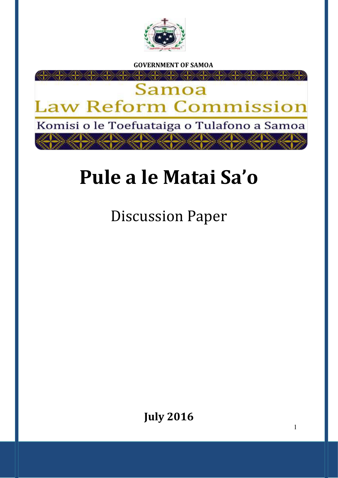

 **GOVERNMENT OF SAMOA** 



# **Pule a le Matai Sa'o**

Discussion Paper

**July 2016**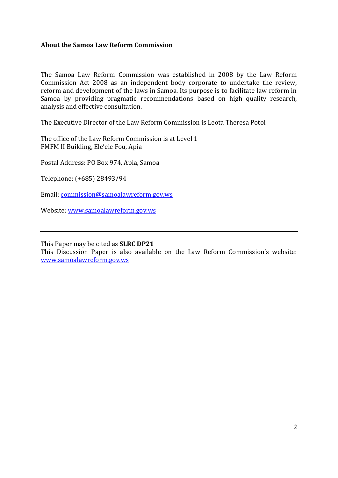## **About the Samoa Law Reform Commission**

The Samoa Law Reform Commission was established in 2008 by the Law Reform Commission Act 2008 as an independent body corporate to undertake the review, reform and development of the laws in Samoa. Its purpose is to facilitate law reform in Samoa by providing pragmatic recommendations based on high quality research, analysis and effective consultation.

The Executive Director of the Law Reform Commission is Leota Theresa Potoi

The office of the Law Reform Commission is at Level 1 FMFM II Building, Ele'ele Fou, Apia

Postal Address: PO Box 974, Apia, Samoa

Telephone: (+685) 28493/94

Email: commission@samoalawreform.gov.ws

Website[: www.samoalawreform.gov.ws](http://www.samoalawreform.gov.ws/) 

This Paper may be cited as **SLRC DP21** 

This Discussion Paper is also available on the Law Reform Commission's website: [www.samoalawreform.gov.ws](http://www.samoalawreform.gov.ws/)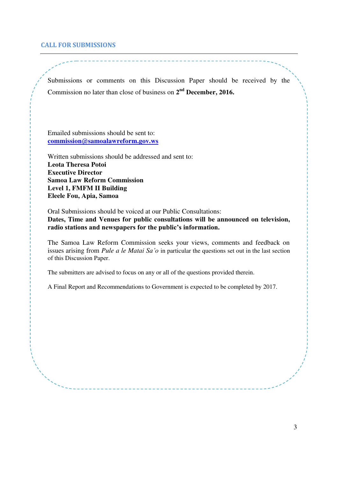#### **CALL FOR SUBMISSIONS**

Submissions or comments on this Discussion Paper should be received by the Commission no later than close of business on **2 nd December, 2016.** 

Emailed submissions should be sent to: **commission@samoalawreform.gov.ws**

Written submissions should be addressed and sent to: **Leota Theresa Potoi Executive Director Samoa Law Reform Commission Level 1, FMFM II Building Eleele Fou, Apia, Samoa** 

Oral Submissions should be voiced at our Public Consultations: **Dates, Time and Venues for public consultations will be announced on television, radio stations and newspapers for the public's information.**

The Samoa Law Reform Commission seeks your views, comments and feedback on issues arising from *Pule a le Matai Sa'o* in particular the questions set out in the last section of this Discussion Paper.

The submitters are advised to focus on any or all of the questions provided therein.

A Final Report and Recommendations to Government is expected to be completed by 2017.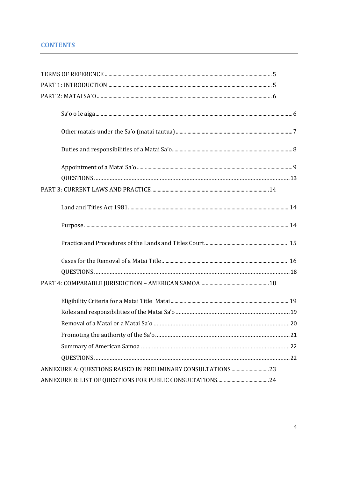# **CONTENTS**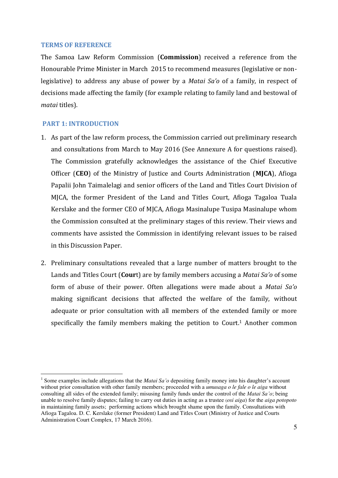#### <span id="page-4-0"></span>**TERMS OF REFERENCE**

The Samoa Law Reform Commission (**Commission**) received a reference from the Honourable Prime Minister in March 2015 to recommend measures (legislative or nonlegislative) to address any abuse of power by a *Matai Sa'o* of a family, in respect of decisions made affecting the family (for example relating to family land and bestowal of *matai* titles).

#### <span id="page-4-1"></span> **PART 1: INTRODUCTION**

<u>.</u>

- 1. As part of the law reform process, the Commission carried out preliminary research and consultations from March to May 2016 (See Annexure A for questions raised). The Commission gratefully acknowledges the assistance of the Chief Executive Officer (**CEO**) of the Ministry of Justice and Courts Administration (**MJCA**), Afioga Papalii John Taimalelagi and senior officers of the Land and Titles Court Division of MJCA, the former President of the Land and Titles Court, Afioga Tagaloa Tuala Kerslake and the former CEO of MJCA, Afioga Masinalupe Tusipa Masinalupe whom the Commission consulted at the preliminary stages of this review. Their views and comments have assisted the Commission in identifying relevant issues to be raised in this Discussion Paper.
- 2. Preliminary consultations revealed that a large number of matters brought to the Lands and Titles Court (**Cour**t) are by family members accusing a *Matai Sa'o* of some form of abuse of their power. Often allegations were made about a *Matai Sa'o* making significant decisions that affected the welfare of the family, without adequate or prior consultation with all members of the extended family or more specifically the family members making the petition to Court.<sup>1</sup> Another common

<sup>1</sup> Some examples include allegations that the *Matai Sa'o* depositing family money into his daughter's account without prior consultation with other family members; proceeded with a *umusaga o le fale o le aiga* without consulting all sides of the extended family; misusing family funds under the control of the *Matai Sa'o*; being unable to resolve family disputes; failing to carry out duties in acting as a trustee (*osi aiga*) for the *aiga potopoto*  in maintaining family assets; performing actions which brought shame upon the family. Consultations with Afioga Tagaloa. D. C. Kerslake (former President) Land and Titles Court (Ministry of Justice and Courts Administration Court Complex, 17 March 2016).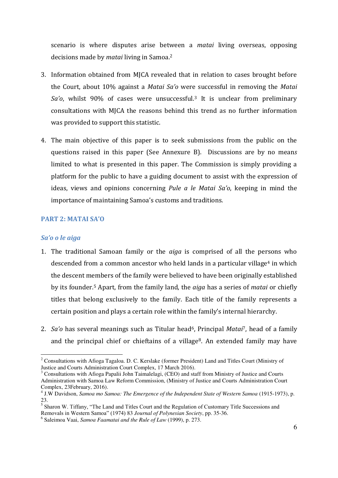scenario is where disputes arise between a *matai* living overseas, opposing decisions made by *matai* living in Samoa.<sup>2</sup>

- 3. Information obtained from MJCA revealed that in relation to cases brought before the Court, about 10% against a *Matai Saǯo* were successful in removing the *Matai Saǯo*, whilst 90% of cases were unsuccessful.3 It is unclear from preliminary consultations with MJCA the reasons behind this trend as no further information was provided to support this statistic.
- 4. The main objective of this paper is to seek submissions from the public on the questions raised in this paper (See Annexure B). Discussions are by no mean*s*  limited to what is presented in this paper. The Commission is simply providing a platform for the public to have a guiding document to assist with the expression of ideas, views and opinions concerning *Pule a le Matai Saǯo*, keeping in mind the importance of maintaining Samoa's customs and traditions*.*

# <span id="page-5-0"></span>**PART 2: MATAI SA'O**

## <span id="page-5-1"></span>*Sa'o o le aiga*

<u>.</u>

- 1. The traditional Samoan family or the *aiga* is comprised of all the persons who descended from a common ancestor who held lands in a particular village<sup>4</sup> in which the descent members of the family were believed to have been originally established by its founder.5 Apart, from the family land, the *aiga* has a series of *matai* or chiefly titles that belong exclusively to the family. Each title of the family represents a certain position and plays a certain role within the family's internal hierarchy.
- 2. *Saǯo* has several meanings such as Titular head6, Principal *Matai*7, head of a family and the principal chief or chieftains of a village<sup>8</sup>. An extended family may have

<sup>&</sup>lt;sup>2</sup> Consultations with Afioga Tagaloa. D. C. Kerslake (former President) Land and Titles Court (Ministry of Justice and Courts Administration Court Complex, 17 March 2016).

<sup>&</sup>lt;sup>3</sup> Consultations with Afioga Papalii John Taimalelagi, (CEO) and staff from Ministry of Justice and Courts Administration with Samoa Law Reform Commission, (Ministry of Justice and Courts Administration Court Complex, 23February, 2016).

<sup>&</sup>lt;sup>4</sup> J.W Davidson, *Samoa mo Samoa: The Emergence of the Independent State of Western Samoa* (1915-1973), p. 23.

<sup>&</sup>lt;sup>5</sup> Sharon W. Tiffany, "The Land and Titles Court and the Regulation of Customary Title Successions and Removals in Western Samoa" (1974) 83 *Journal of Polynesian Society*, pp. 35-36.

<sup>6</sup> Saleimoa Vaai, *Samoa Faamatai and the Rule of Law* (1999), p. 273.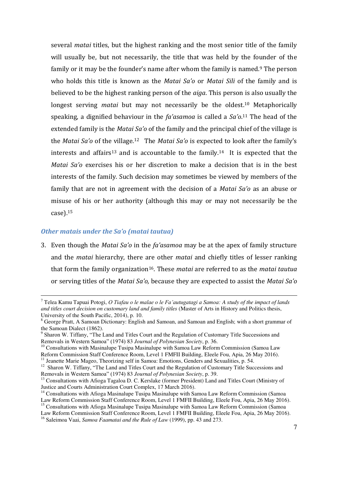several *matai* titles, but the highest ranking and the most senior title of the family will usually be, but not necessarily, the title that was held by the founder of the family or it may be the founder's name after whom the family is named.<sup>9</sup> The person who holds this title is known as the *Matai Sa'o* or *Matai Sili* of the family and is believed to be the highest ranking person of the *aiga*. This person is also usually the longest serving *matai* but may not necessarily be the oldest.10 Metaphorically speaking, a dignified behaviour in the *fa'asamoa* is called a *Sa'o*.<sup>11</sup> The head of the extended family is the *Matai Sa'o* of the family and the principal chief of the village is the *Matai Saǯo* of the village.12 The *Matai Saǯo* is expected to look after the family's interests and affairs<sup>13</sup> and is accountable to the family.<sup>14</sup> It is expected that the *Matai Sa'o* exercises his or her discretion to make a decision that is in the best interests of the family. Such decision may sometimes be viewed by members of the family that are not in agreement with the decision of a *Matai Sa'o* as an abuse or misuse of his or her authority (although this may or may not necessarily be the case).<sup>15</sup>

#### <span id="page-6-0"></span>*Other matais under the Sa'o (matai tautua)*

3. Even though the *Matai Saǯo* in the *faǯasamoa* may be at the apex of family structure and the *matai* hierarchy, there are other *matai* and chiefly titles of lesser ranking that form the family organization16. These *matai* are referred to as the *matai tautua* or serving titles of the *Matai Saǯo,* because they are expected to assist the *Matai Saǯo*

 7 Telea Kamu Tapuai Potogi, *O Tiafau o le malae o le Fa'autugatagi a Samoa: A study of the impact of lands and titles court decision on customary land and family titles* (Master of Arts in History and Politics thesis, University of the South Pacific, 2014), p. 10.

<sup>&</sup>lt;sup>8</sup> George Pratt, A Samoan Dictionary: English and Samoan, and Samoan and English; with a short grammar of

the Samoan Dialect (1862).<br><sup>9</sup> Sharon W. Tiffany, "The Land and Titles Court and the Regulation of Customary Title Successions and Removals in Western Samoa" (1974) 83 *Journal of Polynesian Society*, p. 36.

 $10$  Consultations with Masinalupe Tusipa Masinalupe with Samoa Law Reform Commission (Samoa Law Reform Commission Staff Conference Room, Level 1 FMFII Building, Eleele Fou, Apia, 26 May 2016).

<sup>&</sup>lt;sup>11</sup> Jeanette Marie Mageo, Theorizing self in Samoa: Emotions, Genders and Sexualities, p. 54.<br><sup>12</sup> Sharon W. Tiffany, "The Land and Titles Court and the Regulation of Customary Title Successions and Removals in Western Samoa" (1974) 83 *Journal of Polynesian Society*, p. 39.

<sup>&</sup>lt;sup>13</sup> Consultations with Afioga Tagaloa D. C. Kerslake (former President) Land and Titles Court (Ministry of Justice and Courts Administration Court Complex, 17 March 2016).

<sup>&</sup>lt;sup>14</sup> Consultations with Afioga Masinalupe Tusipa Masinalupe with Samoa Law Reform Commission (Samoa Law Reform Commission Staff Conference Room, Level 1 FMFII Building, Eleele Fou, Apia, 26 May 2016).

<sup>&</sup>lt;sup>15</sup> Consultations with Afioga Masinalupe Tusipa Masinalupe with Samoa Law Reform Commission (Samoa Law Reform Commission Staff Conference Room, Level 1 FMFII Building, Eleele Fou, Apia, 26 May 2016).

<sup>16</sup> Saleimoa Vaai, *Samoa Faamatai and the Rule of Law* (1999), pp. 43 and 273.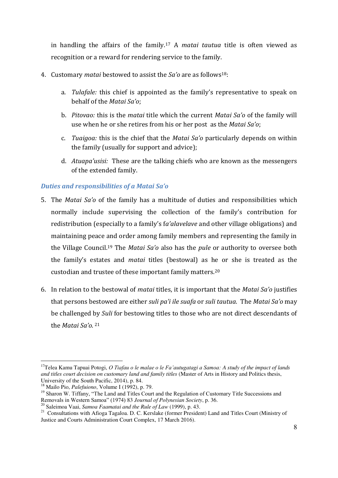in handling the affairs of the family.17 A *matai tautua* title is often viewed as recognition or a reward for rendering service to the family.

- 4. Customary *matai* bestowed to assist the *Saǯo* are as follows18:
	- a. *Tulafale:* this chief is appointed as the family's representative to speak on behalf of the *Matai Saǯo*;
	- b. *Pitovao:* this is the *matai* title which the current *Matai Saǯo* of the family will use when he or she retires from his or her post as the *Matai Sa'o*;
	- c. *Tuaigoa:* this is the chief that the *Matai Saǯo* particularly depends on within the family (usually for support and advice);
	- d. *Atuapa'usisi:* These are the talking chiefs who are known as the messengers of the extended family.

# <span id="page-7-0"></span>*Duties and responsibilities of a Matai Sa'o*

- 5. The *Matai Saǯo* of the family has a multitude of duties and responsibilities which normally include supervising the collection of the family's contribution for redistribution (especially to a family's fa'alavelave and other village obligations) and maintaining peace and order among family members and representing the family in the Village Council.19 The *Matai Saǯo* also has the *pule* or authority to oversee both the family's estates and *matai* titles (bestowal) as he or she is treated as the custodian and trustee of these important family matters.<sup>20</sup>
- 6. In relation to the bestowal of *matai* titles, it is important that the *Matai Saǯo* justifies that persons bestowed are either *suli paǯi ile suafa* or *suli tautua*. The *Matai Saǯo* may be challenged by *Suli* for bestowing titles to those who are not direct descendants of the *Matai Saǯo*. 21

<sup>-</sup><sup>17</sup>Telea Kamu Tapuai Potogi, *O Tiafau o le malae o le Fa'autugatagi a Samoa: A study of the impact of lands and titles court decision on customary land and family titles* (Master of Arts in History and Politics thesis, University of the South Pacific, 2014), p. 84.

<sup>18</sup> Mailo Pio, *Palefuiono*, Volume I (1992), p. 79.

<sup>&</sup>lt;sup>19</sup> Sharon W. Tiffany, "The Land and Titles Court and the Regulation of Customary Title Successions and Removals in Western Samoa" (1974) 83 *Journal of Polynesian Society*, p. 36.

<sup>20</sup> Saleimoa Vaai, *Samoa Faamatai and the Rule of Law* (1999), p. 43.

<sup>&</sup>lt;sup>21</sup> Consultations with Afioga Tagaloa. D. C. Kerslake (former President) Land and Titles Court (Ministry of Justice and Courts Administration Court Complex, 17 March 2016).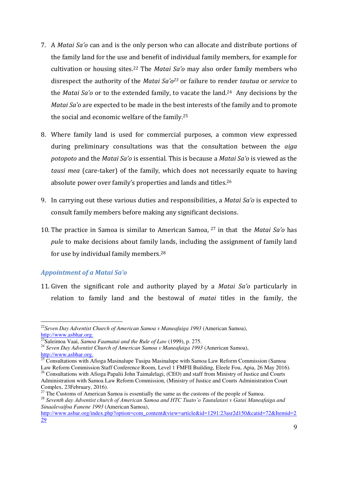- 7. A *Matai Saǯo* can and is the only person who can allocate and distribute portions of the family land for the use and benefit of individual family members, for example for cultivation or housing sites.<sup>22</sup> The *Matai Sa'o* may also order family members who disrespect the authority of the *Matai Saǯo<sup>23</sup>* or failure to render *tautua* or *service* to the *Matai Saǯo* or to the extended family, to vacate the land.24 Any decisions by the *Matai Sa'o* are expected to be made in the best interests of the family and to promote the social and economic welfare of the family.<sup>25</sup>
- 8. Where family land is used for commercial purposes, a common view expressed during preliminary consultations was that the consultation between the *aiga potopoto* and the *Matai Saǯo* is essential. This is because a *Matai Saǯo* is viewed as the *tausi mea* (care-taker) of the family, which does not necessarily equate to having absolute power over family's properties and lands and titles.<sup>26</sup>
- 9. In carrying out these various duties and responsibilities, a *Matai Sa'o* is expected to consult family members before making any significant decisions.
- 10. The practice in Samoa is similar to American Samoa, <sup>27</sup> in that the *Matai Saǯo* has *pule* to make decisions about family lands, including the assignment of family land for use by individual family members.<sup>28</sup>

# <span id="page-8-0"></span>*Appointment of a Matai Sa'o*

-

11. Given the significant role and authority played by a *Matai Saǯo* particularly in relation to family land and the bestowal of *matai* titles in the family, the

<sup>&</sup>lt;sup>22</sup> Seven Day Adventist Church of American Samoa v Maneafaiga 1993 (American Samoa), [http://www.asbhar.org.](http://www.asbhar.org/)

<sup>23</sup>Saleimoa Vaai, *Samoa Faamatai and the Rule of Law* (1999), p. 275.

<sup>24</sup> *Seven Day Adventist Church of American Samoa v Maneafaiga 1993* (American Samoa), [http://www.asbhar.org.](http://www.asbhar.org/)

<sup>&</sup>lt;sup>25</sup> Consultations with Afioga Masinalupe Tusipa Masinalupe with Samoa Law Reform Commission (Samoa Law Reform Commission Staff Conference Room, Level 1 FMFII Building, Eleele Fou, Apia, 26 May 2016).

<sup>&</sup>lt;sup>26</sup> Consultations with Afioga Papalii John Taimalelagi, (CEO) and staff from Ministry of Justice and Courts Administration with Samoa Law Reform Commission, (Ministry of Justice and Courts Administration Court Complex, 23February, 2016).

 $27$  The Customs of American Samoa is essentially the same as the customs of the people of Samoa.

<sup>28</sup> *Seventh day Adventist church of American Samoa and HTC Tuato'o Tautalatasi v Gatai Maneafaiga and Sinaalevaifoa Fanene 1993* (American Samoa),

[http://www.asbar.org/index.php?option=com\\_content&view=article&id=1291:23asr2d150&catid=72&Itemid=2](http://www.asbar.org/index.php?option=com_content&view=article&id=1291:23asr2d150&catid=72&Itemid=229) [29](http://www.asbar.org/index.php?option=com_content&view=article&id=1291:23asr2d150&catid=72&Itemid=229)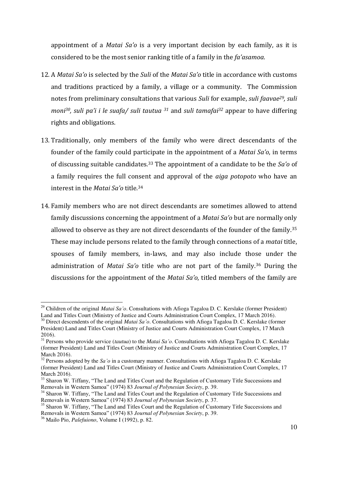appointment of a *Matai Saǯo* is a very important decision by each family, as it is considered to be the most senior ranking title of a family in the *fa'asamoa*.

- 12. A *Matai Saǯo* is selected by the *Suli* of the *Matai Saǯo* title in accordance with customs and traditions practiced by a family, a village or a community. The Commission notes from preliminary consultations that various *Suli* for example, *suli faavae29, suli moni30, suli paǯi i le suafa/ suli tautua 31* and *suli tamafai<sup>32</sup>* appear to have differing rights and obligations.
- 13. Traditionally, only members of the family who were direct descendants of the founder of the family could participate in the appointment of a *Matai Sa'o*, in terms of discussing suitable candidates.33 The appointment of a candidate to be the *Saǯo* of a family requires the full consent and approval of the *aiga potopoto* who have an interest in the *Matai Sa'o* title.<sup>34</sup>
- 14. Family members who are not direct descendants are sometimes allowed to attend family discussions concerning the appointment of a *Matai Sa'o* but are normally only allowed to observe as they are not direct descendants of the founder of the family.<sup>35</sup> These may include persons related to the family through connections of a *matai* title, spouses of family members, in-laws, and may also include those under the administration of *Matai Saǯo* title who are not part of the family.36 During the discussions for the appointment of the *Matai Sa'o*, titled members of the family are

<sup>29</sup> Children of the original *Matai Sa'o*. Consultations with Afioga Tagaloa D. C. Kerslake (former President) Land and Titles Court (Ministry of Justice and Courts Administration Court Complex, 17 March 2016).

<sup>&</sup>lt;sup>30</sup> Direct descendents of the original *Matai Sa'o*. Consultations with Afioga Tagaloa D. C. Kerslake (former President) Land and Titles Court (Ministry of Justice and Courts Administration Court Complex, 17 March 2016).

<sup>31</sup> Persons who provide service (*tautua*) to the *Matai Sa'o*. Consultations with Afioga Tagaloa D. C. Kerslake (former President) Land and Titles Court (Ministry of Justice and Courts Administration Court Complex, 17 March 2016).

<sup>&</sup>lt;sup>32</sup> Persons adopted by the *Sa'o* in a customary manner. Consultations with Afioga Tagaloa D. C. Kerslake (former President) Land and Titles Court (Ministry of Justice and Courts Administration Court Complex, 17 March 2016).

<sup>&</sup>lt;sup>33</sup> Sharon W. Tiffany, "The Land and Titles Court and the Regulation of Customary Title Successions and Removals in Western Samoa" (1974) 83 *Journal of Polynesian Society*, p. 39.

<sup>&</sup>lt;sup>34</sup> Sharon W. Tiffany, "The Land and Titles Court and the Regulation of Customary Title Successions and Removals in Western Samoa" (1974) 83 *Journal of Polynesian Society*, p. 37.

<sup>&</sup>lt;sup>35</sup> Sharon W. Tiffany, "The Land and Titles Court and the Regulation of Customary Title Successions and Removals in Western Samoa" (1974) 83 *Journal of Polynesian Society*, p. 39.

<sup>36</sup> Mailo Pio, *Palefuiono*, Volume I (1992), p. 82.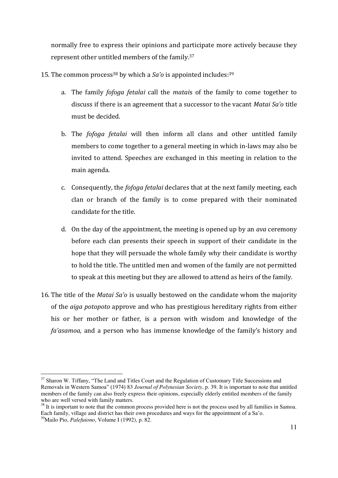normally free to express their opinions and participate more actively because they represent other untitled members of the family.<sup>37</sup>

- 15. The common process<sup>38</sup> by which a *Sa'o* is appointed includes:<sup>39</sup>
	- a. The family *fofoga fetalai* call the *matai*s of the family to come together to discuss if there is an agreement that a successor to the vacant *Matai Saǯo* title must be decided.
	- b. The *fofoga fetalai* will then inform all clans and other untitled family members to come together to a general meeting in which in-laws may also be invited to attend. Speeches are exchanged in this meeting in relation to the main agenda.
	- c. Consequently, the *fofoga fetalai* declares that at the next family meeting, each clan or branch of the family is to come prepared with their nominated candidate for the title.
	- d. On the day of the appointment, the meeting is opened up by an *ava* ceremony before each clan presents their speech in support of their candidate in the hope that they will persuade the whole family why their candidate is worthy to hold the title. The untitled men and women of the family are not permitted to speak at this meeting but they are allowed to attend as heirs of the family.
- 16. The title of the *Matai Sa'o* is usually bestowed on the candidate whom the majority of the *aiga potopoto* approve and who has prestigious hereditary rights from either his or her mother or father, is a person with wisdom and knowledge of the *faǯasamoa,* and a person who has immense knowledge of the family's history and

<u>.</u>

<sup>&</sup>lt;sup>37</sup> Sharon W. Tiffany, "The Land and Titles Court and the Regulation of Customary Title Successions and Removals in Western Samoa" (1974) 83 *Journal of Polynesian Society*, p. 39. It is important to note that untitled members of the family can also freely express their opinions, especially elderly entitled members of the family who are well versed with family matters.

<sup>&</sup>lt;sup>38</sup> It is important to note that the common process provided here is not the process used by all families in Samoa. Each family, village and district has their own procedures and ways for the appointment of a Sa'o.

<sup>39</sup>Mailo Pio, *Palefuiono*, Volume I (1992), p. 82.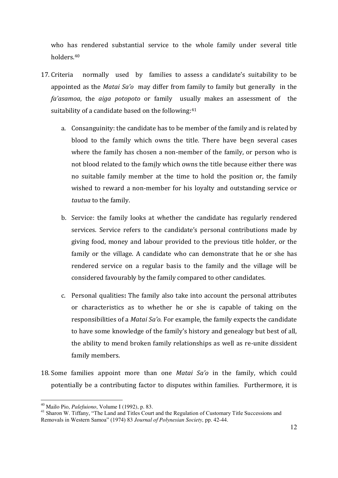who has rendered substantial service to the whole family under several title holders.<sup>40</sup>

- 17. Criteria normally used by families to assess a candidate's suitability to be appointed as the *Matai Saǯo* may differ from family to family but generally in the *faǯasamoa*, the *aiga potopoto* or family usually makes an assessment of the suitability of a candidate based on the following: 41
	- a. Consanguinity: the candidate has to be member of the family and is related by blood to the family which owns the title. There have been several cases where the family has chosen a non-member of the family, or person who is not blood related to the family which owns the title because either there was no suitable family member at the time to hold the position or, the family wished to reward a non-member for his loyalty and outstanding service or *tautua* to the family.
	- b. Service: the family looks at whether the candidate has regularly rendered services. Service refers to the candidate's personal contributions made by giving food, money and labour provided to the previous title holder, or the family or the village. A candidate who can demonstrate that he or she has rendered service on a regular basis to the family and the village will be considered favourably by the family compared to other candidates.
	- c. Personal qualities**:** The family also take into account the personal attributes or characteristics as to whether he or she is capable of taking on the responsibilities of a *Matai Sa'o*. For example, the family expects the candidate to have some knowledge of the family's history and genealogy but best of all, the ability to mend broken family relationships as well as re-unite dissident family members.
- 18. Some families appoint more than one *Matai Sa'o* in the family, which could potentially be a contributing factor to disputes within families. Furthermore, it is

<sup>40</sup> Mailo Pio, *Palefuiono*, Volume I (1992), p. 83.

<sup>&</sup>lt;sup>41</sup> Sharon W. Tiffany, "The Land and Titles Court and the Regulation of Customary Title Successions and Removals in Western Samoa" (1974) 83 *Journal of Polynesian Society,* pp. 42-44.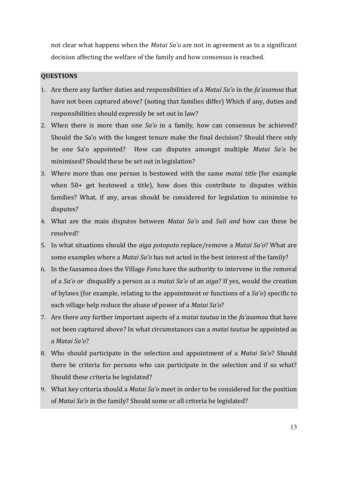not clear what happens when the *Matai Sa'o* are not in agreement as to a significant decision affecting the welfare of the family and how consensus is reached.

## <span id="page-12-0"></span>**QUESTIONS**

- 1. Are there any further duties and responsibilities of a *Matai Sa'o* in the *fa'asamoa* that have not been captured above? (noting that families differ) Which if any, duties and responsibilities should expressly be set out in law?
- 2. When there is more than one *Sa'o* in a family, how can consensus be achieved? Should the Sa'o with the longest tenure make the final decision? Should there only be one Sa'o appointed? How can disputes amongst multiple *Matai Saǯo* be minimised? Should these be set out in legislation?
- 3. Where more than one person is bestowed with the same *matai title* (for example when 50+ get bestowed a title), how does this contribute to disputes within families? What, if any, areas should be considered for legislation to minimise to disputes?
- 4. What are the main disputes between *Matai Saǯo* and *Suli and* how can these be resolved?
- 5. In what situations should the *aiga potopoto* replace/remove a *Matai Saǯo*? What are some examples where a *Matai Sa'o* has not acted in the best interest of the family?
- 6. In the faasamoa does the Village *Fono* have the authority to intervene in the removal of a *Saǯo* or disqualify a person as a *matai Saǯo* of an *aiga*? If yes, would the creation of bylaws (for example, relating to the appointment or functions of a *Sa'o*) specific to each village help reduce the abuse of power of a *Matai Sa'o*?
- 7. Are there any further important aspects of a *matai tautua* in the *faǯasamoa* that have not been captured above? In what circumstances can a *matai tautua* be appointed as a *Matai Saǯo*?
- 8. Who should participate in the selection and appointment of a *Matai Sa'o*? Should there be criteria for persons who can participate in the selection and if so what? Should these criteria be legislated?
- 9. What key criteria should a *Matai Saǯo* meet in order to be considered for the position of *Matai Saǯo* in the family? Should some or all criteria be legislated?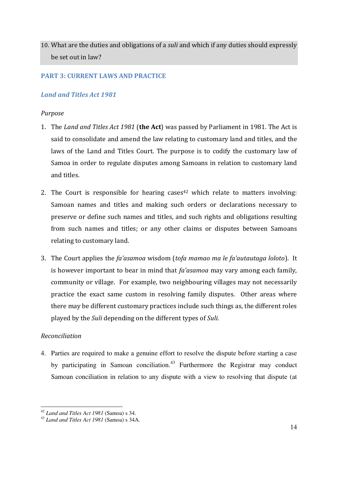10. What are the duties and obligations of a *suli* and which if any duties should expressly be set out in law?

# <span id="page-13-0"></span>**PART 3: CURRENT LAWS AND PRACTICE**

# <span id="page-13-1"></span>*Land and Titles Act 1981*

# <span id="page-13-2"></span>*Purpose*

- 1. The *Land and Titles Act 1981* (**the Act**) was passed by Parliament in 1981. The Act is said to consolidate and amend the law relating to customary land and titles, and the laws of the Land and Titles Court. The purpose is to codify the customary law of Samoa in order to regulate disputes among Samoans in relation to customary land and titles.
- 2. The Court is responsible for hearing cases<sup> $42$ </sup> which relate to matters involving: Samoan names and titles and making such orders or declarations necessary to preserve or define such names and titles, and such rights and obligations resulting from such names and titles; or any other claims or disputes between Samoans relating to customary land.
- 3. The Court applies the *faǯasamoa* wisdom (*tofa mamao ma le faǯautautaga loloto*). It is however important to bear in mind that *fa'asamoa* may vary among each family, community or village. For example, two neighbouring villages may not necessarily practice the exact same custom in resolving family disputes. Other areas where there may be different customary practices include such things as, the different roles played by the *Suli* depending on the different types of *Suli*.

# *Reconciliation*

-

4. Parties are required to make a genuine effort to resolve the dispute before starting a case by participating in Samoan conciliation.<sup>43</sup> Furthermore the Registrar may conduct Samoan conciliation in relation to any dispute with a view to resolving that dispute (at

<sup>42</sup> *Land and Titles Act 1981* (Samoa) s 34.

<sup>43</sup> *Land and Titles Act 1981* (Samoa) s 34A.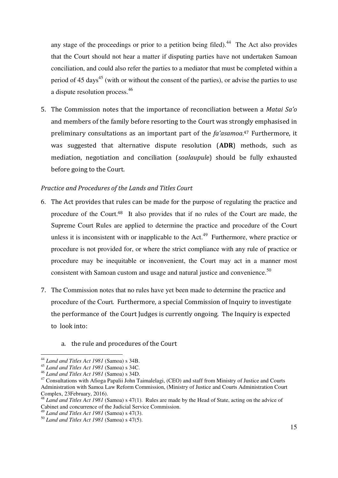any stage of the proceedings or prior to a petition being filed). $44$  The Act also provides that the Court should not hear a matter if disputing parties have not undertaken Samoan conciliation, and could also refer the parties to a mediator that must be completed within a period of 45 days<sup>45</sup> (with or without the consent of the parties), or advise the parties to use a dispute resolution process.<sup>46</sup>

5. The Commission notes that the importance of reconciliation between a *Matai Saǯo* and members of the family before resorting to the Court was strongly emphasised in preliminary consultations as an important part of the *fa'asamoa*.<sup>47</sup> Furthermore, it was suggested that alternative dispute resolution (**ADR**) methods, such as mediation, negotiation and conciliation (*soalaupule*) should be fully exhausted before going to the Court.

#### <span id="page-14-0"></span>*Practice and Procedures of the Lands and Titles Court*

- 6. The Act provides that rules can be made for the purpose of regulating the practice and procedure of the Court.<sup>48</sup> It also provides that if no rules of the Court are made, the Supreme Court Rules are applied to determine the practice and procedure of the Court unless it is inconsistent with or inapplicable to the Act.<sup>49</sup> Furthermore, where practice or procedure is not provided for, or where the strict compliance with any rule of practice or procedure may be inequitable or inconvenient, the Court may act in a manner most consistent with Samoan custom and usage and natural justice and convenience.<sup>50</sup>
- 7. The Commission notes that no rules have yet been made to determine the practice and procedure of the Court*.* Furthermore, a special Commission of Inquiry to investigate the performance of the Court Judges is currently ongoing. The Inquiry is expected to look into:
	- a. the rule and procedures of the Court

<u>.</u>

<sup>44</sup> *Land and Titles Act 1981* (Samoa) s 34B.

<sup>45</sup> *Land and Titles Act 1981* (Samoa) s 34C.

<sup>46</sup> *Land and Titles Act 1981* (Samoa) s 34D.

<sup>&</sup>lt;sup>47</sup> Consultations with Afioga Papalii John Taimalelagi, (CEO) and staff from Ministry of Justice and Courts Administration with Samoa Law Reform Commission, (Ministry of Justice and Courts Administration Court Complex, 23February, 2016).

<sup>48</sup> *Land and Titles Act 1981* (Samoa) s 47(1). Rules are made by the Head of State, acting on the advice of Cabinet and concurrence of the Judicial Service Commission.

<sup>49</sup> *Land and Titles Act 1981* (Samoa) s 47(3).

<sup>50</sup> *Land and Titles Act 1981* (Samoa) s 47(5).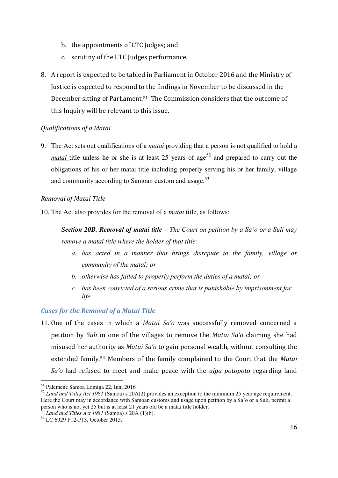- b. the appointments of LTC Judges; and
- c. scrutiny of the LTC Judges performance.
- 8. A report is expected to be tabled in Parliament in October 2016 and the Ministry of Justice is expected to respond to the findings in November to be discussed in the December sitting of Parliament.51 The Commission considers that the outcome of this Inquiry will be relevant to this issue.

# *Qualifications of a Matai*

9. The Act sets out qualifications of a *matai* providing that a person is not qualified to hold a *matai* title unless he or she is at least 25 years of age<sup>52</sup> and prepared to carry out the obligations of his or her matai title including properly serving his or her family, village and community according to Samoan custom and usage.<sup>53</sup>

# *Removal of Matai Title*

10. The Act also provides for the removal of a *matai* title, as follows:

*Section 20B. Removal of matai title – The Court on petition by a Sa'o or a Suli may remove a matai title where the holder of that title:* 

- *a. has acted in a manner that brings disrepute to the family, village or community of the matai; or*
- *b. otherwise has failed to properly perform the duties of a matai; or*
- *c. has been convicted of a serious crime that is punishable by imprisonment for life.*

# <span id="page-15-0"></span>*Cases for the Removal of a Matai Title*

11. One of the cases in which a *Matai Sa'o* was successfully removed concerned a petition by *Suli* in one of the villages to remove the *Matai Saǯo* claiming she had misused her authority as *Matai Saǯo* to gain personal wealth, without consulting the extended family.54 Members of the family complained to the Court that the *Matai Saǯo* had refused to meet and make peace with the *aiga potopot*o regarding land

<sup>51</sup> Palemene Samoa Lomiga 22, Iuni 2016

<sup>52</sup> *Land and Titles Act 1981* (Samoa) s 20A(2) provides an exception to the minimum 25 year age requirement. Here the Court may in accordance with Samoan customs and usage upon petition by a Sa'o or a Suli, permit a person who is not yet 25 but is at least 21 years old be a matai title holder.

<sup>53</sup> *Land and Titles Act 1981* (Samoa) s 20A (1)(b).

<sup>54</sup> LC 6929 P12-P13, October 2015.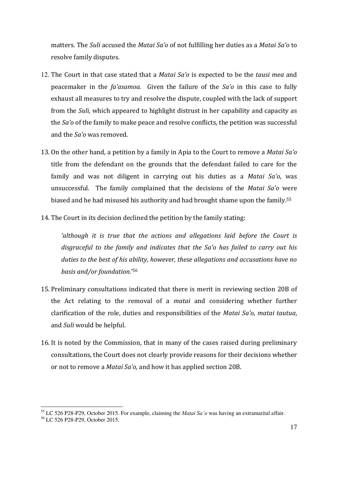matters. The *Suli* accused the *Matai Saǯo* of not fulfilling her duties as a *Matai Saǯo* to resolve family disputes.

- 12. The Court in that case stated that a *Matai Saǯo* is expected to be the *tausi mea* and peacemaker in the *faǯasamoa.* Given the failure of the *Saǯo* in this case to fully exhaust all measures to try and resolve the dispute, coupled with the lack of support from the *Suli,* which appeared to highlight distrust in her capability and capacity as the *Saǯo* of the family to make peace and resolve conflicts, the petition was successful and the *Saǯo* was removed.
- 13. On the other hand, a petition by a family in Apia to the Court to remove a *Matai Saǯo*  title from the defendant on the grounds that the defendant failed to care for the family and was not diligent in carrying out his duties as a *Matai Sa'o*, was unsuccessful. The family complained that the decisions of the *Matai Sa'o* were biased and he had misused his authority and had brought shame upon the family.<sup>55</sup>
- 14. The Court in its decision declined the petition by the family stating:

*Ǯalthough it is true that the actions and allegations laid before the Court is*  disgraceful to the family and indicates that the Sa'o has failed to carry out his *duties to the best of his ability, however, these allegations and accusations have no basis and/or foundation*.'<sup>56</sup>

- 15. Preliminary consultations indicated that there is merit in reviewing section 20B of the Act relating to the removal of a *matai* and considering whether further clarification of the role, duties and responsibilities of the *Matai Saǯo*, *matai tautua*, and *Suli* would be helpful.
- 16. It is noted by the Commission, that in many of the cases raised during preliminary consultations, the Court does not clearly provide reasons for their decisions whether or not to remove a *Matai Saǯo,* and how it has applied section 20B.

<sup>55</sup> LC 526 P28-P29, October 2015. For example, claiming the *Matai Sa'o* was having an extramarital affair.

<sup>56</sup> LC 526 P28-P29, October 2015.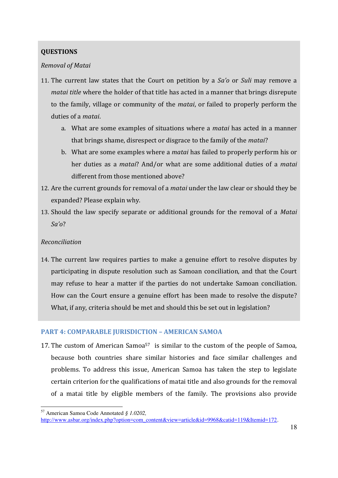# <span id="page-17-0"></span>**QUESTIONS**

# *Removal of Matai*

- 11. The current law states that the Court on petition by a *Saǯo* or *Suli* may remove a *matai title* where the holder of that title has acted in a manner that brings disrepute to the family, village or community of the *matai*, or failed to properly perform the duties of a *matai*.
	- a. What are some examples of situations where a *matai* has acted in a manner that brings shame, disrespect or disgrace to the family of the *matai*?
	- b. What are some examples where a *matai* has failed to properly perform his or her duties as a *matai*? And/or what are some additional duties of a *matai* different from those mentioned above?
- 12. Are the current grounds for removal of a *matai* under the law clear or should they be expanded? Please explain why.
- 13. Should the law specify separate or additional grounds for the removal of a *Matai Saǯo*?

# *Reconciliation*

14. The current law requires parties to make a genuine effort to resolve disputes by participating in dispute resolution such as Samoan conciliation, and that the Court may refuse to hear a matter if the parties do not undertake Samoan conciliation. How can the Court ensure a genuine effort has been made to resolve the dispute? What, if any, criteria should be met and should this be set out in legislation?

# <span id="page-17-1"></span>**PART 4: COMPARABLE JURISDICTION – AMERICAN SAMOA**

17. The custom of American Samoa<sup>57</sup> is similar to the custom of the people of Samoa, because both countries share similar histories and face similar challenges and problems. To address this issue, American Samoa has taken the step to legislate certain criterion for the qualifications of matai title and also grounds for the removal of a matai title by eligible members of the family. The provisions also provide

<sup>-</sup><sup>57</sup> American Samoa Code Annotated *§ 1.0202,* 

[http://www.asbar.org/index.php?option=com\\_content&view=article&id=9968&catid=119&Itemid=172.](http://www.asbar.org/index.php?option=com_content&view=article&id=9968&catid=119&Itemid=172)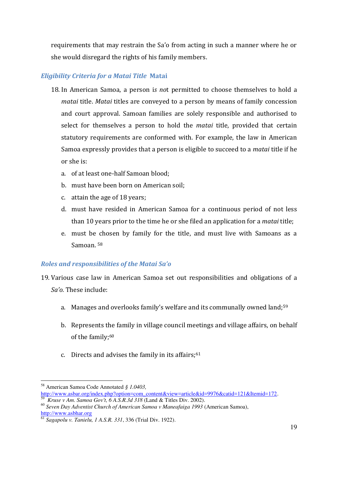requirements that may restrain the Sa'o from acting in such a manner where he or she would disregard the rights of his family members.

# <span id="page-18-0"></span>*Eligibility Criteria for a Matai Title* **Matai**

- 18. In American Samoa, a person i*s no*t permitted to choose themselves to hold a *matai* title. *Matai* titles are conveyed to a person by means of family concession and court approval. Samoan families are solely responsible and authorised to select for themselves a person to hold the *matai* title, provided that certain statutory requirements are conformed with. For example, the law in American Samoa expressly provides that a person is eligible to succeed to a *matai* title if he or she is:
	- a. of at least one-half Samoan blood;
	- b. must have been born on American soil;
	- c. attain the age of 18 years;
	- d. must have resided in American Samoa for a continuous period of not less than 10 years prior to the time he or she filed an application for a *matai* title;
	- e. must be chosen by family for the title, and must live with Samoans as a Samoan. <sup>58</sup>

# <span id="page-18-1"></span>*Roles and responsibilities of the Matai Sa'o*

- 19. Various case law in American Samoa set out responsibilities and obligations of a *Saǯo.* These include:
	- a. Manages and overlooks family's welfare and its communally owned land;<sup>59</sup>
	- b. Represents the family in village council meetings and village affairs, on behalf of the family;<sup>60</sup>
	- c. Directs and advises the family in its affairs; $61$

<sup>-</sup><sup>58</sup> American Samoa Code Annotated *§ 1.0403,*  [http://www.asbar.org/index.php?option=com\\_content&view=article&id=9976&catid=121&Itemid=172.](http://www.asbar.org/index.php?option=com_content&view=article&id=9976&catid=121&Itemid=172)

<sup>59</sup> *Kruse v Am. Samoa Gov't, 6 A.S.R.3d 318* (Land & Titles Div. 2002).

<sup>60</sup> *Seven Day Adventist Church of American Samoa v Maneafaiga 1993* (American Samoa), [http://www.asbhar.org](http://www.asbhar.org/)

<sup>61</sup> *Sagapolu v. Tanielu, 1 A.S.R. 331*, 336 (Trial Div. 1922).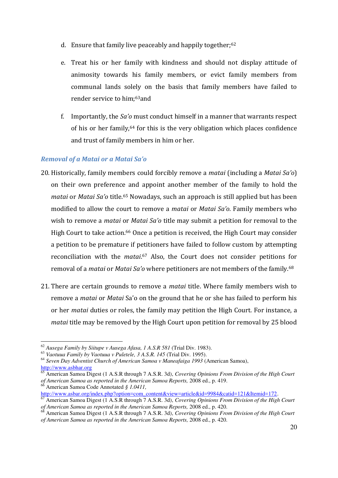- d. Ensure that family live peaceably and happily together;<sup>62</sup>
- e. Treat his or her family with kindness and should not display attitude of animosity towards his family members, or evict family members from communal lands solely on the basis that family members have failed to render service to him;63and
- f. Importantly, the *Sa'o* must conduct himself in a manner that warrants respect of his or her family,64 for this is the very obligation which places confidence and trust of family members in him or her.

# <span id="page-19-0"></span>*Removal of a Matai or a Matai Sa'o*

- 20. Historically, family members could forcibly remove a *matai* (including a *Matai Saǯo*) on their own preference and appoint another member of the family to hold the *matai* or *Matai Sa'o* title.<sup>65</sup> Nowadays, such an approach is still applied but has been modified to allow the court to remove a *matai* or *Matai Sa'o*. Family members who wish to remove a *matai* or *Matai Sa'o* title may submit a petition for removal to the High Court to take action.<sup>66</sup> Once a petition is received, the High Court may consider a petition to be premature if petitioners have failed to follow custom by attempting reconciliation with the *matai*. <sup>67</sup> Also, the Court does not consider petitions for removal of a *matai* or *Matai Sa'o* where petitioners are not members of the family.<sup>68</sup>
- 21. There are certain grounds to remove a *matai* title. Where family members wish to remove a *matai* or *Matai* Sa'o on the ground that he or she has failed to perform his or her *matai* duties or roles, the family may petition the High Court. For instance, a *matai* title may be removed by the High Court upon petition for removal by 25 blood

<sup>-</sup><sup>62</sup> *Ausega Family by Siitupe v Ausega Afasa, 1 A.S.R 581* (Trial Div. 1983).

<sup>63</sup> *Vaotuua Family by Vaotuua v Puletele, 3 A.S.R. 145* (Trial Div. 1995).

<sup>64</sup> *Seven Day Adventist Church of American Samoa v Maneafaiga 1993* (American Samoa), [http://www.asbhar.org](http://www.asbhar.org/)

<sup>65</sup> American Samoa Digest (1 A.S.R through 7 A.S.R. 3d), *Covering Opinions From Division of the High Court of American Samoa as reported in the American Samoa Reports,* 2008 ed., p. 419.

<sup>66</sup> American Samoa Code Annotated *§ 1.0411,*  [http://www.asbar.org/index.php?option=com\\_content&view=article&id=9984&catid=121&Itemid=172.](http://www.asbar.org/index.php?option=com_content&view=article&id=9984&catid=121&Itemid=172)

<sup>67</sup> American Samoa Digest (1 A.S.R through 7 A.S.R. 3d), *Covering Opinions From Division of the High Court of American Samoa as reported in the American Samoa Reports, 2008 ed., p. 420.*<br><sup>68</sup> American Samoa Reports, 2008 ed., p. 420.

<sup>68</sup> American Samoa Digest (1 A.S.R through 7 A.S.R. 3d), *Covering Opinions From Division of the High Court of American Samoa as reported in the American Samoa Reports,* 2008 ed., p. 420.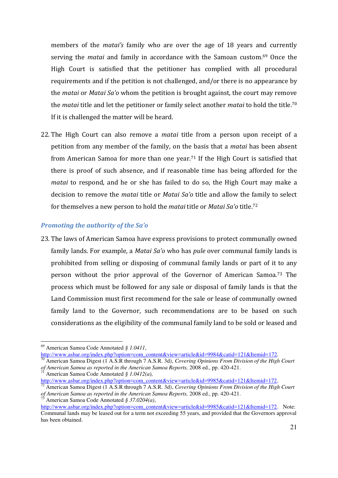members of the *matai's* family who are over the age of 18 years and currently serving the *matai* and family in accordance with the Samoan custom.69 Once the High Court is satisfied that the petitioner has complied with all procedural requirements and if the petition is not challenged, and/or there is no appearance by the *matai* or *Matai Saǯo* whom the petition is brought against, the court may remove the *matai* title and let the petitioner or family select another *matai* to hold the title.<sup>70</sup> If it is challenged the matter will be heard.

22. The High Court can also remove a *matai* title from a person upon receipt of a petition from any member of the family, on the basis that a *matai* has been absent from American Samoa for more than one year.71 If the High Court is satisfied that there is proof of such absence, and if reasonable time has being afforded for the *matai* to respond, and he or she has failed to do so, the High Court may make a decision to remove the *matai* title or *Matai Saǯo* title and allow the family to select for themselves a new person to hold the *matai* title or *Matai Sa'o* title.<sup>72</sup>

# <span id="page-20-0"></span>*Promoting the authority of the Sa'o*

23. The laws of American Samoa have express provisions to protect communally owned family lands. For example, a *Matai Sa'o* who has *pule* over communal family lands is prohibited from selling or disposing of communal family lands or part of it to any person without the prior approval of the Governor of American Samoa.73 The process which must be followed for any sale or disposal of family lands is that the Land Commission must first recommend for the sale or lease of communally owned family land to the Governor, such recommendations are to be based on such considerations as the eligibility of the communal family land to be sold or leased and

<sup>69</sup> American Samoa Code Annotated *§ 1.0411*,

[http://www.asbar.org/index.php?option=com\\_content&view=article&id=9984&catid=121&Itemid=172.](http://www.asbar.org/index.php?option=com_content&view=article&id=9984&catid=121&Itemid=172)

<sup>70</sup> American Samoa Digest (1 A.S.R through 7 A.S.R. 3d), *Covering Opinions From Division of the High Court of American Samoa as reported in the American Samoa Reports,* 2008 ed., pp. 420-421.

<sup>71</sup> American Samoa Code Annotated *§ 1.0412(a),* 

[http://www.asbar.org/index.php?option=com\\_content&view=article&id=9985&catid=121&Itemid=172.](http://www.asbar.org/index.php?option=com_content&view=article&id=9985&catid=121&Itemid=172)

<sup>72</sup> American Samoa Digest (1 A.S.R through 7 A.S.R. 3d), *Covering Opinions From Division of the High Court of American Samoa as reported in the American Samoa Reports, 2008 ed., pp. 420-421.* <sup>73</sup> American Samoa Code Annotated *§ 37.0204(a)*,

[http://www.asbar.org/index.php?option=com\\_content&view=article&id=9985&catid=121&Itemid=172.](http://www.asbar.org/index.php?option=com_content&view=article&id=9985&catid=121&Itemid=172) Note: Communal lands may be leased out for a term not exceeding 55 years, and provided that the Governors approval has been obtained.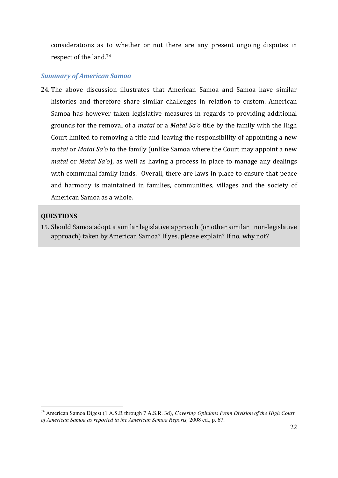considerations as to whether or not there are any present ongoing disputes in respect of the land.<sup>74</sup>

## <span id="page-21-0"></span>*Summary of American Samoa*

24. The above discussion illustrates that American Samoa and Samoa have similar histories and therefore share similar challenges in relation to custom. American Samoa has however taken legislative measures in regards to providing additional grounds for the removal of a *matai* or a *Matai Saǯo* title by the family with the High Court limited to removing a title and leaving the responsibility of appointing a new *matai* or *Matai Sa'o* to the family (unlike Samoa where the Court may appoint a new *matai* or *Matai Sa'o*), as well as having a process in place to manage any dealings with communal family lands. Overall, there are laws in place to ensure that peace and harmony is maintained in families, communities, villages and the society of American Samoa as a whole.

## <span id="page-21-1"></span>**QUESTIONS**

-

15. Should Samoa adopt a similar legislative approach (or other similar non-legislative approach) taken by American Samoa? If yes, please explain? If no, why not?

<sup>74</sup> American Samoa Digest (1 A.S.R through 7 A.S.R. 3d), *Covering Opinions From Division of the High Court of American Samoa as reported in the American Samoa Reports,* 2008 ed., p. 67.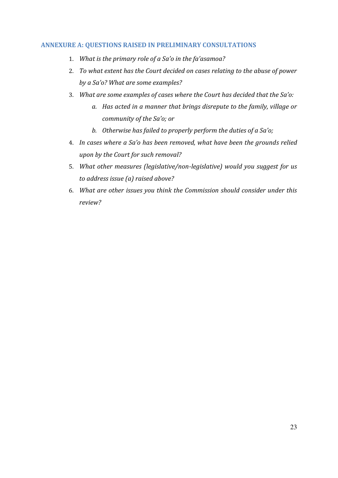# <span id="page-22-0"></span>**ANNEXURE A: QUESTIONS RAISED IN PRELIMINARY CONSULTATIONS**

- 1. *What is the primary role of a Sa'o in the fa'asamoa?*
- 2. *To what extent has the Court decided on cases relating to the abuse of power by a Saǯo? What are some examples?*
- 3. *What are some examples of cases where the Court has decided that the Saǯo:*
	- *a. Has acted in a manner that brings disrepute to the family, village or community of the Saǯo; or*
	- *b.* Otherwise has failed to properly perform the duties of a Sa'o;
- 4. *In cases where a Saǯo has been removed, what have been the grounds relied upon by the Court for such removal?*
- 5. *What other measures (legislative/non-legislative) would you suggest for us to address issue (a) raised above?*
- 6. *What are other issues you think the Commission should consider under this review?*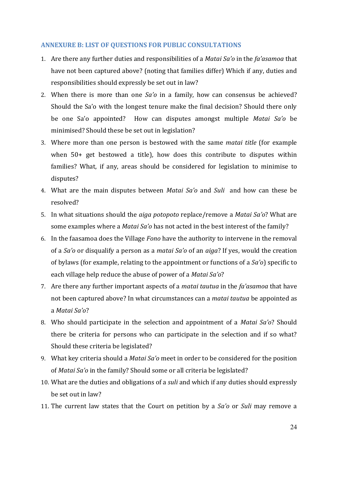## <span id="page-23-0"></span>**ANNEXURE B: LIST OF QUESTIONS FOR PUBLIC CONSULTATIONS**

- 1. Are there any further duties and responsibilities of a *Matai Sa'o* in the *fa'asamoa* that have not been captured above? (noting that families differ) Which if any, duties and responsibilities should expressly be set out in law?
- 2. When there is more than one *Sa'o* in a family, how can consensus be achieved? Should the Sa'o with the longest tenure make the final decision? Should there only be one Sa'o appointed? How can disputes amongst multiple *Matai Sa'o* be minimised? Should these be set out in legislation?
- 3. Where more than one person is bestowed with the same *matai title* (for example when 50+ get bestowed a title), how does this contribute to disputes within families? What, if any, areas should be considered for legislation to minimise to disputes?
- 4. What are the main disputes between *Matai Saǯo* and *Suli* and how can these be resolved?
- 5. In what situations should the *aiga potopoto* replace/remove a *Matai Sa'o*? What are some examples where a *Matai Sa'o* has not acted in the best interest of the family?
- 6. In the faasamoa does the Village *Fono* have the authority to intervene in the removal of a *Saǯo* or disqualify a person as a *matai Saǯo* of an *aiga*? If yes, would the creation of bylaws (for example, relating to the appointment or functions of a *Sa'o*) specific to each village help reduce the abuse of power of a *Matai Sa'o*?
- 7. Are there any further important aspects of a *matai tautua* in the *faǯasamoa* that have not been captured above? In what circumstances can a *matai tautua* be appointed as a *Matai Saǯo*?
- 8. Who should participate in the selection and appointment of a *Matai Sa'o*? Should there be criteria for persons who can participate in the selection and if so what? Should these criteria be legislated?
- 9. What key criteria should a *Matai Saǯo* meet in order to be considered for the position of *Matai Saǯo* in the family? Should some or all criteria be legislated?
- 10. What are the duties and obligations of a *suli* and which if any duties should expressly be set out in law?
- 11. The current law states that the Court on petition by a *Saǯo* or *Suli* may remove a